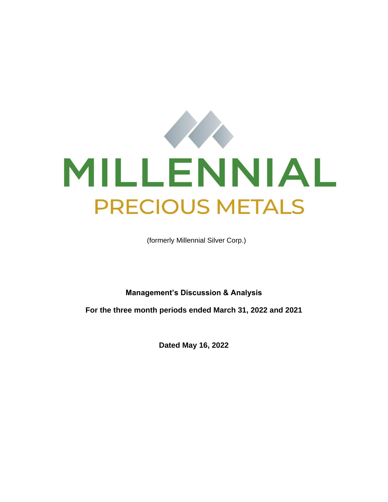

(formerly Millennial Silver Corp.)

**Management's Discussion & Analysis** 

**For the three month periods ended March 31, 2022 and 2021**

**Dated May 16, 2022**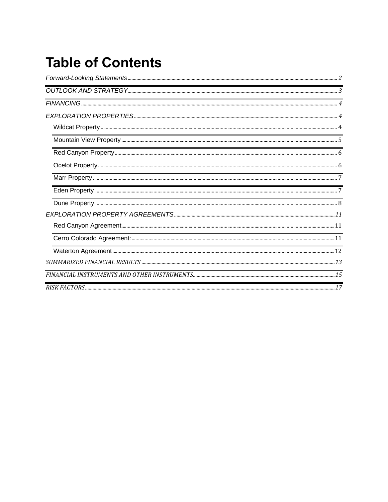# **Table of Contents**

| $\small \textbf{OUTLOOK AND STRATEGY} \textcolor{red}{.}3 \\ \textbf{.}3 \\ \textbf{.0}$ |
|------------------------------------------------------------------------------------------|
|                                                                                          |
|                                                                                          |
|                                                                                          |
|                                                                                          |
|                                                                                          |
|                                                                                          |
|                                                                                          |
|                                                                                          |
|                                                                                          |
|                                                                                          |
|                                                                                          |
|                                                                                          |
|                                                                                          |
|                                                                                          |
|                                                                                          |
|                                                                                          |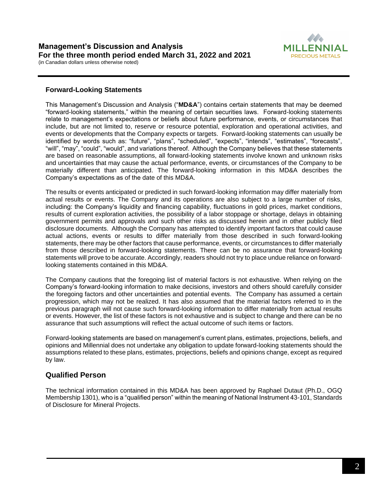

# **Forward-Looking Statements**

This Management's Discussion and Analysis ("**MD&A**") contains certain statements that may be deemed "forward-looking statements," within the meaning of certain securities laws. Forward-looking statements relate to management's expectations or beliefs about future performance, events, or circumstances that include, but are not limited to, reserve or resource potential, exploration and operational activities, and events or developments that the Company expects or targets. Forward-looking statements can usually be identified by words such as: "future", "plans", "scheduled", "expects", "intends", "estimates", "forecasts", "will", "may", "could", "would", and variations thereof. Although the Company believes that these statements are based on reasonable assumptions, all forward-looking statements involve known and unknown risks and uncertainties that may cause the actual performance, events, or circumstances of the Company to be materially different than anticipated. The forward-looking information in this MD&A describes the Company's expectations as of the date of this MD&A.

The results or events anticipated or predicted in such forward-looking information may differ materially from actual results or events. The Company and its operations are also subject to a large number of risks, including: the Company's liquidity and financing capability, fluctuations in gold prices, market conditions, results of current exploration activities, the possibility of a labor stoppage or shortage, delays in obtaining government permits and approvals and such other risks as discussed herein and in other publicly filed disclosure documents. Although the Company has attempted to identify important factors that could cause actual actions, events or results to differ materially from those described in such forward-looking statements, there may be other factors that cause performance, events, or circumstances to differ materially from those described in forward-looking statements. There can be no assurance that forward-looking statements will prove to be accurate. Accordingly, readers should not try to place undue reliance on forwardlooking statements contained in this MD&A.

The Company cautions that the foregoing list of material factors is not exhaustive. When relying on the Company's forward-looking information to make decisions, investors and others should carefully consider the foregoing factors and other uncertainties and potential events. The Company has assumed a certain progression, which may not be realized. It has also assumed that the material factors referred to in the previous paragraph will not cause such forward-looking information to differ materially from actual results or events. However, the list of these factors is not exhaustive and is subject to change and there can be no assurance that such assumptions will reflect the actual outcome of such items or factors.

Forward-looking statements are based on management's current plans, estimates, projections, beliefs, and opinions and Millennial does not undertake any obligation to update forward-looking statements should the assumptions related to these plans, estimates, projections, beliefs and opinions change, except as required by law.

# **Qualified Person**

The technical information contained in this MD&A has been approved by Raphael Dutaut (Ph.D., OGQ Membership 1301), who is a "qualified person" within the meaning of National Instrument 43-101, Standards of Disclosure for Mineral Projects.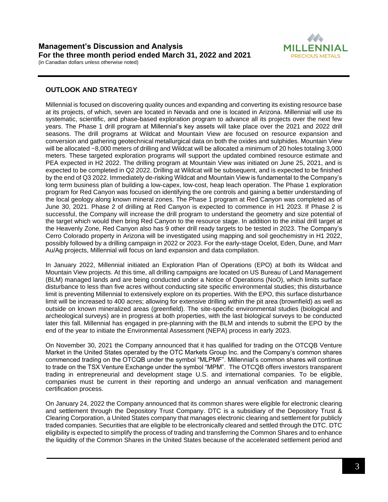

# **OUTLOOK AND STRATEGY**

Millennial is focused on discovering quality ounces and expanding and converting its existing resource base at its projects, of which, seven are located in Nevada and one is located in Arizona. Millennial will use its systematic, scientific, and phase-based exploration program to advance all its projects over the next few years. The Phase 1 drill program at Millennial's key assets will take place over the 2021 and 2022 drill seasons. The drill programs at Wildcat and Mountain View are focused on resource expansion and conversion and gathering geotechnical metallurgical data on both the oxides and sulphides. Mountain View will be allocated ~8,000 meters of drilling and Wildcat will be allocated a minimum of 20 holes totaling 3,000 meters. These targeted exploration programs will support the updated combined resource estimate and PEA expected in H2 2022. The drilling program at Mountain View was initiated on June 25, 2021, and is expected to be completed in Q2 2022. Drilling at Wildcat will be subsequent, and is expected to be finished by the end of Q3 2022. Immediately de-risking Wildcat and Mountain View is fundamental to the Company's long term business plan of building a low-capex, low-cost, heap leach operation. The Phase 1 exploration program for Red Canyon was focused on identifying the ore controls and gaining a better understanding of the local geology along known mineral zones. The Phase 1 program at Red Canyon was completed as of June 30, 2021. Phase 2 of drilling at Red Canyon is expected to commence in H1 2023. If Phase 2 is successful, the Company will increase the drill program to understand the geometry and size potential of the target which would then bring Red Canyon to the resource stage. In addition to the initial drill target at the Heavenly Zone, Red Canyon also has 9 other drill ready targets to be tested in 2023. The Company's Cerro Colorado property in Arizona will be investigated using mapping and soil geochemistry in H1 2022, possibly followed by a drilling campaign in 2022 or 2023. For the early-stage Ocelot, Eden, Dune, and Marr Au/Ag projects, Millennial will focus on land expansion and data compilation.

In January 2022, Millennial initiated an Exploration Plan of Operations (EPO) at both its Wildcat and Mountain View projects. At this time, all drilling campaigns are located on US Bureau of Land Management (BLM) managed lands and are being conducted under a Notice of Operations (NoO), which limits surface disturbance to less than five acres without conducting site specific environmental studies; this disturbance limit is preventing Millennial to extensively explore on its properties. With the EPO, this surface disturbance limit will be increased to 400 acres; allowing for extensive drilling within the pit area (brownfield) as well as outside on known mineralized areas (greenfield). The site-specific environmental studies (biological and archeological surveys) are in progress at both properties, with the last biological surveys to be conducted later this fall. Millennial has engaged in pre-planning with the BLM and intends to submit the EPO by the end of the year to initiate the Environmental Assessment (NEPA) process in early 2023.

On November 30, 2021 the Company announced that it has qualified for trading on the OTCQB Venture Market in the United States operated by the OTC Markets Group Inc. and the Company's common shares commenced trading on the OTCQB under the symbol "MLPMF". Millennial's common shares will continue to trade on the TSX Venture Exchange under the symbol "MPM". The OTCQB offers investors transparent trading in entrepreneurial and development stage U.S. and international companies. To be eligible, companies must be current in their reporting and undergo an annual verification and management certification process.

On January 24, 2022 the Company announced that its common shares were eligible for electronic clearing and settlement through the Depository Trust Company. DTC is a subsidiary of the Depository Trust & Clearing Corporation, a United States company that manages electronic clearing and settlement for publicly traded companies. Securities that are eligible to be electronically cleared and settled through the DTC. DTC eligibility is expected to simplify the process of trading and transferring the Common Shares and to enhance the liquidity of the Common Shares in the United States because of the accelerated settlement period and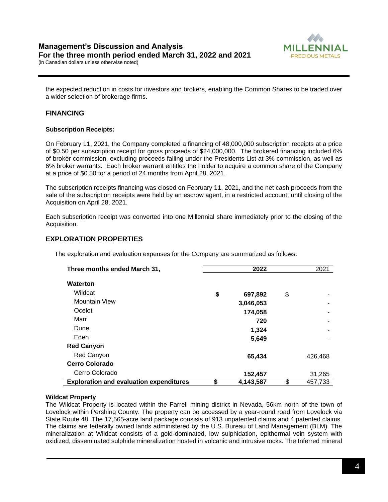

the expected reduction in costs for investors and brokers, enabling the Common Shares to be traded over a wider selection of brokerage firms.

# **FINANCING**

# **Subscription Receipts:**

On February 11, 2021, the Company completed a financing of 48,000,000 subscription receipts at a price of \$0.50 per subscription receipt for gross proceeds of \$24,000,000. The brokered financing included 6% of broker commission, excluding proceeds falling under the Presidents List at 3% commission, as well as 6% broker warrants. Each broker warrant entitles the holder to acquire a common share of the Company at a price of \$0.50 for a period of 24 months from April 28, 2021.

The subscription receipts financing was closed on February 11, 2021, and the net cash proceeds from the sale of the subscription receipts were held by an escrow agent, in a restricted account, until closing of the Acquisition on April 28, 2021.

Each subscription receipt was converted into one Millennial share immediately prior to the closing of the Acquisition.

# **EXPLORATION PROPERTIES**

The exploration and evaluation expenses for the Company are summarized as follows:

| Three months ended March 31,                   | 2022 |           |    | 2021    |
|------------------------------------------------|------|-----------|----|---------|
| <b>Waterton</b>                                |      |           |    |         |
| Wildcat                                        | \$   | 697,892   | \$ | ۰       |
| <b>Mountain View</b>                           |      | 3,046,053 |    |         |
| Ocelot                                         |      | 174,058   |    |         |
| Marr                                           |      | 720       |    | ۰       |
| Dune                                           |      | 1,324     |    |         |
| Eden                                           |      | 5,649     |    |         |
| <b>Red Canyon</b>                              |      |           |    |         |
| Red Canyon                                     |      | 65,434    |    | 426,468 |
| <b>Cerro Colorado</b>                          |      |           |    |         |
| Cerro Colorado                                 |      | 152,457   |    | 31,265  |
| <b>Exploration and evaluation expenditures</b> | \$   | 4,143,587 | \$ | 457,733 |

## **Wildcat Property**

The Wildcat Property is located within the Farrell mining district in Nevada, 56km north of the town of Lovelock within Pershing County. The property can be accessed by a year-round road from Lovelock via State Route 48. The 17,565-acre land package consists of 913 unpatented claims and 4 patented claims. The claims are federally owned lands administered by the U.S. Bureau of Land Management (BLM). The mineralization at Wildcat consists of a gold-dominated, low sulphidation, epithermal vein system with oxidized, disseminated sulphide mineralization hosted in volcanic and intrusive rocks. The Inferred mineral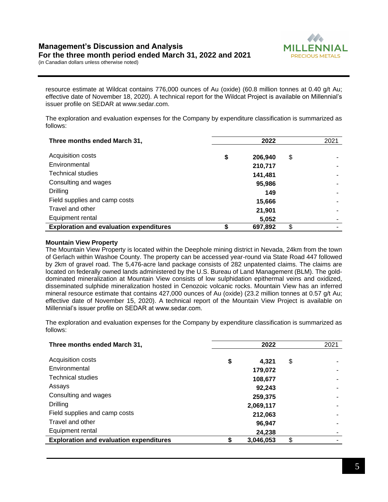

resource estimate at Wildcat contains 776,000 ounces of Au (oxide) (60.8 million tonnes at 0.40 g/t Au; effective date of November 18, 2020). A technical report for the Wildcat Project is available on Millennial's issuer profile on SEDAR at www.sedar.com.

The exploration and evaluation expenses for the Company by expenditure classification is summarized as follows:

| Three months ended March 31,                   | 2022          | 2021 |
|------------------------------------------------|---------------|------|
| Acquisition costs                              | \$<br>206,940 | \$   |
| Environmental                                  | 210,717       |      |
| <b>Technical studies</b>                       | 141,481       |      |
| Consulting and wages                           | 95,986        |      |
| <b>Drilling</b>                                | 149           |      |
| Field supplies and camp costs                  | 15,666        |      |
| Travel and other                               | 21,901        |      |
| Equipment rental                               | 5,052         |      |
| <b>Exploration and evaluation expenditures</b> | 697,892       | \$   |

#### **Mountain View Property**

The Mountain View Property is located within the Deephole mining district in Nevada, 24km from the town of Gerlach within Washoe County. The property can be accessed year-round via State Road 447 followed by 2km of gravel road. The 5,476-acre land package consists of 282 unpatented claims. The claims are located on federally owned lands administered by the U.S. Bureau of Land Management (BLM). The golddominated mineralization at Mountain View consists of low sulphidation epithermal veins and oxidized, disseminated sulphide mineralization hosted in Cenozoic volcanic rocks. Mountain View has an inferred mineral resource estimate that contains 427,000 ounces of Au (oxide) (23.2 million tonnes at 0.57 g/t Au; effective date of November 15, 2020). A technical report of the Mountain View Project is available on Millennial's issuer profile on SEDAR at www.sedar.com.

| Three months ended March 31,                   | 2022        | 2021 |
|------------------------------------------------|-------------|------|
| Acquisition costs                              | \$<br>4,321 | \$   |
| Environmental                                  | 179,072     |      |
| <b>Technical studies</b>                       | 108,677     |      |
| Assays                                         | 92.243      |      |
| Consulting and wages                           | 259,375     |      |
| <b>Drilling</b>                                | 2,069,117   |      |
| Field supplies and camp costs                  | 212,063     |      |
| Travel and other                               | 96,947      |      |
| Equipment rental                               | 24,238      |      |
| <b>Exploration and evaluation expenditures</b> | 3,046,053   | \$   |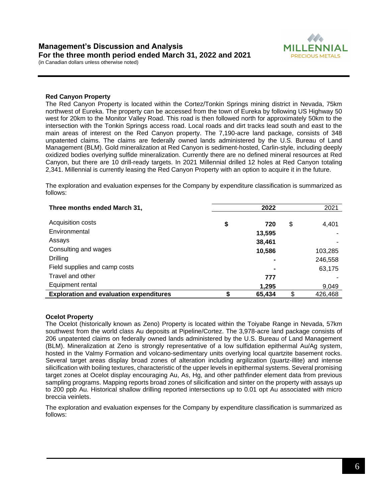

#### **Red Canyon Property**

The Red Canyon Property is located within the Cortez/Tonkin Springs mining district in Nevada, 75km northwest of Eureka. The property can be accessed from the town of Eureka by following US Highway 50 west for 20km to the Monitor Valley Road. This road is then followed north for approximately 50km to the intersection with the Tonkin Springs access road. Local roads and dirt tracks lead south and east to the main areas of interest on the Red Canyon property. The 7,190-acre land package, consists of 348 unpatented claims. The claims are federally owned lands administered by the U.S. Bureau of Land Management (BLM). Gold mineralization at Red Canyon is sediment-hosted, Carlin-style, including deeply oxidized bodies overlying sulfide mineralization. Currently there are no defined mineral resources at Red Canyon, but there are 10 drill-ready targets. In 2021 Millennial drilled 12 holes at Red Canyon totaling 2,341. Millennial is currently leasing the Red Canyon Property with an option to acquire it in the future.

The exploration and evaluation expenses for the Company by expenditure classification is summarized as follows:

| Three months ended March 31,                   | 2022      | 2021          |
|------------------------------------------------|-----------|---------------|
|                                                |           |               |
| Acquisition costs                              | \$<br>720 | \$<br>4,401   |
| Environmental                                  | 13,595    |               |
| Assays                                         | 38,461    |               |
| Consulting and wages                           | 10,586    | 103,285       |
| <b>Drilling</b>                                |           | 246,558       |
| Field supplies and camp costs                  | ۰         | 63,175        |
| Travel and other                               | 777       |               |
| Equipment rental                               | 1,295     | 9,049         |
| <b>Exploration and evaluation expenditures</b> | 65,434    | \$<br>426,468 |

#### **Ocelot Property**

The Ocelot (historically known as Zeno) Property is located within the Toiyabe Range in Nevada, 57km southwest from the world class Au deposits at Pipeline/Cortez. The 3,978-acre land package consists of 206 unpatented claims on federally owned lands administered by the U.S. Bureau of Land Management (BLM). Mineralization at Zeno is strongly representative of a low sulfidation epithermal Au/Ag system, hosted in the Valmy Formation and volcano-sedimentary units overlying local quartzite basement rocks. Several target areas display broad zones of alteration including argilization (quartz-illite) and intense silicification with boiling textures, characteristic of the upper levels in epithermal systems. Several promising target zones at Ocelot display encouraging Au, As, Hg, and other pathfinder element data from previous sampling programs. Mapping reports broad zones of silicification and sinter on the property with assays up to 200 ppb Au. Historical shallow drilling reported intersections up to 0.01 opt Au associated with micro breccia veinlets.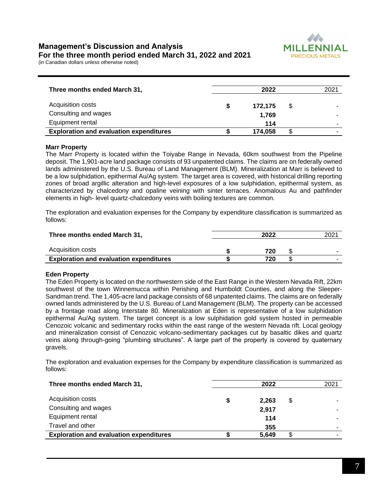

| Three months ended March 31,                   |   | 2022    | 2021 |
|------------------------------------------------|---|---------|------|
| Acquisition costs                              | S | 172.175 | \$   |
| Consulting and wages                           |   | 1.769   |      |
| Equipment rental                               |   | 114     |      |
| <b>Exploration and evaluation expenditures</b> |   | 174.058 |      |

#### **Marr Property**

The Marr Property is located within the Toiyabe Range in Nevada, 60km southwest from the Pipeline deposit. The 1,901-acre land package consists of 93 unpatented claims. The claims are on federally owned lands administered by the U.S. Bureau of Land Management (BLM). Mineralization at Marr is believed to be a low sulphidation, epithermal Au/Ag system. The target area is covered, with historical drilling reporting zones of broad argillic alteration and high-level exposures of a low sulphidation, epithermal system, as characterized by chalcedony and opaline veining with sinter terraces. Anomalous Au and pathfinder elements in high- level quartz-chalcedony veins with boiling textures are common.

The exploration and evaluation expenses for the Company by expenditure classification is summarized as follows:

| Three months ended March 31,                   | 2022 |  |   |
|------------------------------------------------|------|--|---|
| Acquisition costs                              | 720  |  | - |
| <b>Exploration and evaluation expenditures</b> | 720  |  |   |

#### **Eden Property**

The Eden Property is located on the northwestern side of the East Range in the Western Nevada Rift, 22km southwest of the town Winnemucca within Perishing and Humboldt Counties, and along the Sleeper-Sandman trend. The 1,405-acre land package consists of 68 unpatented claims. The claims are on federally owned lands administered by the U.S. Bureau of Land Management (BLM). The property can be accessed by a frontage road along Interstate 80. Mineralization at Eden is representative of a low sulphidation epithermal Au/Ag system. The target concept is a low sulphidation gold system hosted in permeable Cenozoic volcanic and sedimentary rocks within the east range of the western Nevada rift. Local geology and mineralization consist of Cenozoic volcano-sedimentary packages cut by basaltic dikes and quartz veins along through-going "plumbing structures". A large part of the property is covered by quaternary gravels.

| Three months ended March 31,                   | 2022  | 2021 |
|------------------------------------------------|-------|------|
| Acquisition costs                              | 2.263 | \$   |
| Consulting and wages                           | 2,917 |      |
| Equipment rental                               | 114   |      |
| Travel and other                               | 355   |      |
| <b>Exploration and evaluation expenditures</b> | 5,649 |      |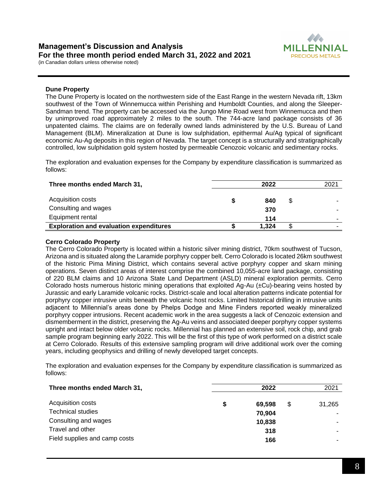



#### **Dune Property**

The Dune Property is located on the northwestern side of the East Range in the western Nevada rift, 13km southwest of the Town of Winnemucca within Perishing and Humboldt Counties, and along the Sleeper-Sandman trend. The property can be accessed via the Jungo Mine Road west from Winnemucca and then by unimproved road approximately 2 miles to the south. The 744-acre land package consists of 36 unpatented claims. The claims are on federally owned lands administered by the U.S. Bureau of Land Management (BLM). Mineralization at Dune is low sulphidation, epithermal Au/Ag typical of significant economic Au-Ag deposits in this region of Nevada. The target concept is a structurally and stratigraphically controlled, low sulphidation gold system hosted by permeable Cenozoic volcanic and sedimentary rocks.

The exploration and evaluation expenses for the Company by expenditure classification is summarized as follows:

| Three months ended March 31,                   | 2022       | 2021 |
|------------------------------------------------|------------|------|
| Acquisition costs<br>Consulting and wages      | 840<br>370 | \$   |
| Equipment rental                               | 114        | -    |
| <b>Exploration and evaluation expenditures</b> | 1.324      |      |

#### **Cerro Colorado Property**

The Cerro Colorado Property is located within a historic silver mining district, 70km southwest of Tucson, Arizona and is situated along the Laramide porphyry copper belt. Cerro Colorado is located 26km southwest of the historic Pima Mining District, which contains several active porphyry copper and skarn mining operations. Seven distinct areas of interest comprise the combined 10,055-acre land package, consisting of 220 BLM claims and 10 Arizona State Land Department (ASLD) mineral exploration permits. Cerro Colorado hosts numerous historic mining operations that exploited Ag-Au (±Cu)-bearing veins hosted by Jurassic and early Laramide volcanic rocks. District-scale and local alteration patterns indicate potential for porphyry copper intrusive units beneath the volcanic host rocks. Limited historical drilling in intrusive units adjacent to Millennial's areas done by Phelps Dodge and Mine Finders reported weakly mineralized porphyry copper intrusions. Recent academic work in the area suggests a lack of Cenozoic extension and dismemberment in the district, preserving the Ag-Au veins and associated deeper porphyry copper systems upright and intact below older volcanic rocks. Millennial has planned an extensive soil, rock chip, and grab sample program beginning early 2022. This will be the first of this type of work performed on a district scale at Cerro Colorado. Results of this extensive sampling program will drive additional work over the coming years, including geophysics and drilling of newly developed target concepts.

| Three months ended March 31,  |   | 2022   |   | 2021   |
|-------------------------------|---|--------|---|--------|
| Acquisition costs             | S | 69.598 | S | 31,265 |
| <b>Technical studies</b>      |   | 70.904 |   |        |
| Consulting and wages          |   | 10,838 |   | ۰      |
| Travel and other              |   | 318    |   | ۰      |
| Field supplies and camp costs |   | 166    |   | -      |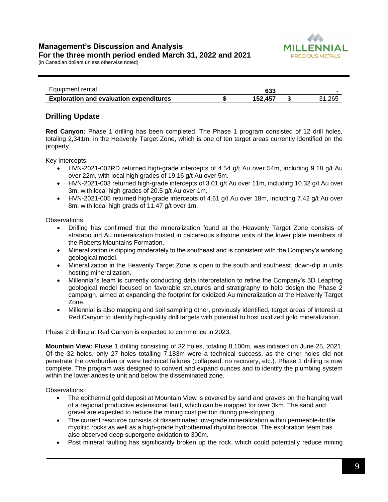

| Equipment rental                               | 633     |        |
|------------------------------------------------|---------|--------|
| <b>Exploration and evaluation expenditures</b> | 152.457 | 31.265 |

# **Drilling Update**

**Red Canyon:** Phase 1 drilling has been completed. The Phase 1 program consisted of 12 drill holes, totaling 2,341m, in the Heavenly Target Zone, which is one of ten target areas currently identified on the property.

Key Intercepts:

- HVN-2021-002RD returned high-grade intercepts of 4.54 g/t Au over 54m, including 9.18 g/t Au over 22m, with local high grades of 19.16 g/t Au over 5m.
- HVN-2021-003 returned high-grade intercepts of 3.01 g/t Au over 11m, including 10.32 g/t Au over 3m, with local high grades of 20.5 g/t Au over 1m.
- HVN-2021-005 returned high-grade intercepts of 4.61 g/t Au over 18m, including 7.42 g/t Au over 8m, with local high grads of 11.47 g/t over 1m.

Observations:

- Drilling has confirmed that the mineralization found at the Heavenly Target Zone consists of stratabound Au mineralization hosted in calcareous siltstone units of the lower plate members of the Roberts Mountains Formation.
- Mineralization is dipping moderately to the southeast and is consistent with the Company's working geological model.
- Mineralization in the Heavenly Target Zone is open to the south and southeast, down-dip in units hosting mineralization.
- Millennial's team is currently conducting data interpretation to refine the Company's 3D Leapfrog geological model focused on favorable structures and stratigraphy to help design the Phase 2 campaign, aimed at expanding the footprint for oxidized Au mineralization at the Heavenly Target Zone.
- Millennial is also mapping and soil sampling other, previously identified, target areas of interest at Red Canyon to identify high-quality drill targets with potential to host oxidized gold mineralization.

Phase 2 drilling at Red Canyon is expected to commence in 2023.

**Mountain View:** Phase 1 drilling consisting of 32 holes, totaling 8,100m, was initiated on June 25, 2021. Of the 32 holes, only 27 holes totalling 7,183m were a technical success, as the other holes did not penetrate the overburden or were technical failures (collapsed, no recovery, etc.). Phase 1 drilling is now complete. The program was designed to convert and expand ounces and to identify the plumbing system within the lower andesite unit and below the disseminated zone.

Observations:

- The epithermal gold deposit at Mountain View is covered by sand and gravels on the hanging wall of a regional productive extensional fault, which can be mapped for over 3km. The sand and gravel are expected to reduce the mining cost per ton during pre-stripping.
- The current resource consists of disseminated low-grade mineralization within permeable-brittle rhyolitic rocks as well as a high-grade hydrothermal rhyolitic breccia. The exploration team has also observed deep supergene oxidation to 300m.
- Post mineral faulting has significantly broken up the rock, which could potentially reduce mining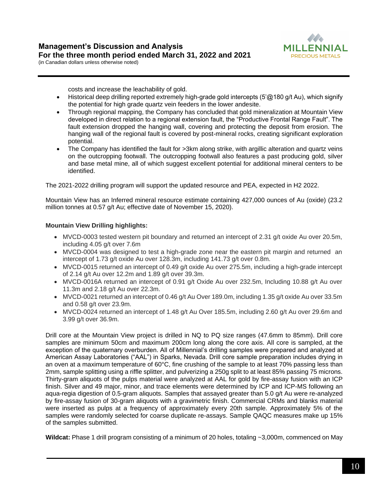

costs and increase the leachability of gold.

- Historical deep drilling reported extremely high-grade gold intercepts (5'@180 g/t Au), which signify the potential for high grade quartz vein feeders in the lower andesite.
- Through regional mapping, the Company has concluded that gold mineralization at Mountain View developed in direct relation to a regional extension fault, the "Productive Frontal Range Fault". The fault extension dropped the hanging wall, covering and protecting the deposit from erosion. The hanging wall of the regional fault is covered by post-mineral rocks, creating significant exploration potential.
- The Company has identified the fault for >3km along strike, with argillic alteration and quartz veins on the outcropping footwall. The outcropping footwall also features a past producing gold, silver and base metal mine, all of which suggest excellent potential for additional mineral centers to be identified.

The 2021-2022 drilling program will support the updated resource and PEA, expected in H2 2022.

Mountain View has an Inferred mineral resource estimate containing 427,000 ounces of Au (oxide) (23.2 million tonnes at 0.57 g/t Au; effective date of November 15, 2020).

## **Mountain View Drilling highlights:**

- MVCD-0003 tested western pit boundary and returned an intercept of 2.31 g/t oxide Au over 20.5m, including 4.05 g/t over 7.6m
- MVCD-0004 was designed to test a high-grade zone near the eastern pit margin and returned an intercept of 1.73 g/t oxide Au over 128.3m, including 141.73 g/t over 0.8m.
- MVCD-0015 returned an intercept of 0.49 g/t oxide Au over 275.5m, including a high-grade intercept of 2.14 g/t Au over 12.2m and 1.89 g/t over 39.3m.
- MVCD-0016A returned an intercept of 0.91 g/t Oxide Au over 232.5m, Including 10.88 g/t Au over 11.3m and 2.18 g/t Au over 22.3m.
- MVCD-0021 returned an intercept of 0.46 g/t Au Over 189.0m, including 1.35 g/t oxide Au over 33.5m and 0.58 g/t over 23.9m.
- MVCD-0024 returned an intercept of 1.48 g/t Au Over 185.5m, including 2.60 g/t Au over 29.6m and 3.99 g/t over 36.9m.

Drill core at the Mountain View project is drilled in NQ to PQ size ranges (47.6mm to 85mm). Drill core samples are minimum 50cm and maximum 200cm long along the core axis. All core is sampled, at the exception of the quaternary overburden. All of Millennial's drilling samples were prepared and analyzed at American Assay Laboratories ("AAL") in Sparks, Nevada. Drill core sample preparation includes drying in an oven at a maximum temperature of 60°C, fine crushing of the sample to at least 70% passing less than 2mm, sample splitting using a riffle splitter, and pulverizing a 250g split to at least 85% passing 75 microns. Thirty-gram aliquots of the pulps material were analyzed at AAL for gold by fire-assay fusion with an ICP finish. Silver and 49 major, minor, and trace elements were determined by ICP and ICP-MS following an aqua-regia digestion of 0.5-gram aliquots. Samples that assayed greater than 5.0 g/t Au were re-analyzed by fire-assay fusion of 30-gram aliquots with a gravimetric finish. Commercial CRMs and blanks material were inserted as pulps at a frequency of approximately every 20th sample. Approximately 5% of the samples were randomly selected for coarse duplicate re-assays. Sample QAQC measures make up 15% of the samples submitted.

**Wildcat:** Phase 1 drill program consisting of a minimum of 20 holes, totaling ~3,000m, commenced on May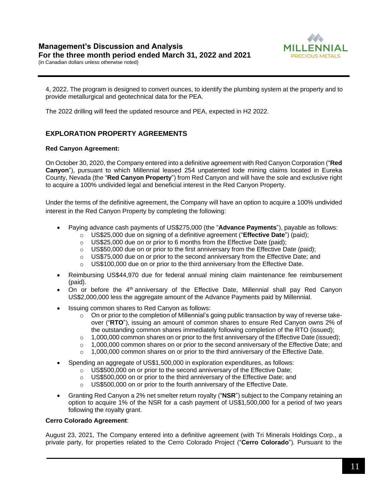

4, 2022. The program is designed to convert ounces, to identify the plumbing system at the property and to provide metallurgical and geotechnical data for the PEA.

The 2022 drilling will feed the updated resource and PEA, expected in H2 2022.

# **EXPLORATION PROPERTY AGREEMENTS**

# **Red Canyon Agreement:**

On October 30, 2020, the Company entered into a definitive agreement with Red Canyon Corporation ("**Red Canyon**"), pursuant to which Millennial leased 254 unpatented lode mining claims located in Eureka County, Nevada (the "**Red Canyon Property**") from Red Canyon and will have the sole and exclusive right to acquire a 100% undivided legal and beneficial interest in the Red Canyon Property.

Under the terms of the definitive agreement, the Company will have an option to acquire a 100% undivided interest in the Red Canyon Property by completing the following:

- Paying advance cash payments of US\$275,000 (the "**Advance Payments**"), payable as follows:
	- o US\$25,000 due on signing of a definitive agreement ("**Effective Date**") (paid);
	- o US\$25,000 due on or prior to 6 months from the Effective Date (paid);
	- $\circ$  US\$50,000 due on or prior to the first anniversary from the Effective Date (paid);
	- o US\$75,000 due on or prior to the second anniversary from the Effective Date; and
	- $\circ$  US\$100,000 due on or prior to the third anniversary from the Effective Date.
- Reimbursing US\$44,970 due for federal annual mining claim maintenance fee reimbursement (paid).
- On or before the 4<sup>th</sup> anniversary of the Effective Date, Millennial shall pay Red Canyon US\$2,000,000 less the aggregate amount of the Advance Payments paid by Millennial.
- Issuing common shares to Red Canyon as follows:
	- $\circ$  On or prior to the completion of Millennial's going public transaction by way of reverse takeover ("**RTO**"), issuing an amount of common shares to ensure Red Canyon owns 2% of the outstanding common shares immediately following completion of the RTO (issued);
	- $\circ$  1,000,000 common shares on or prior to the first anniversary of the Effective Date (issued);
	- $\circ$  1,000,000 common shares on or prior to the second anniversary of the Effective Date; and
	- $\circ$  1,000,000 common shares on or prior to the third anniversary of the Effective Date.
- Spending an aggregate of US\$1,500,000 in exploration expenditures, as follows:
	- o US\$500,000 on or prior to the second anniversary of the Effective Date;
	- o US\$500,000 on or prior to the third anniversary of the Effective Date; and
	- $\circ$  US\$500,000 on or prior to the fourth anniversary of the Effective Date.
- Granting Red Canyon a 2% net smelter return royalty ("**NSR**") subject to the Company retaining an option to acquire 1% of the NSR for a cash payment of US\$1,500,000 for a period of two years following the royalty grant.

## **Cerro Colorado Agreement**:

August 23, 2021, The Company entered into a definitive agreement (with Tri Minerals Holdings Corp., a private party, for properties related to the Cerro Colorado Project ("**Cerro Colorado**"). Pursuant to the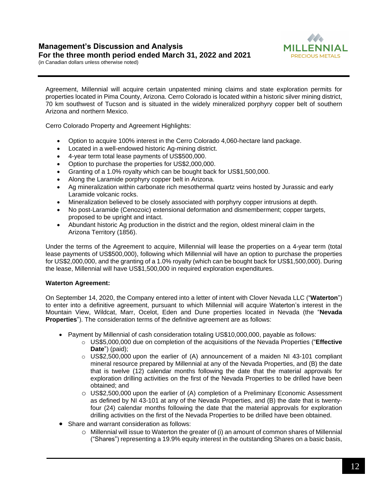

Agreement, Millennial will acquire certain unpatented mining claims and state exploration permits for properties located in Pima County, Arizona. Cerro Colorado is located within a historic silver mining district, 70 km southwest of Tucson and is situated in the widely mineralized porphyry copper belt of southern Arizona and northern Mexico.

Cerro Colorado Property and Agreement Highlights:

- Option to acquire 100% interest in the Cerro Colorado 4,060-hectare land package.
- Located in a well-endowed historic Ag-mining district.
- 4-year term total lease payments of US\$500,000.
- Option to purchase the properties for US\$2,000,000.
- Granting of a 1.0% royalty which can be bought back for US\$1,500,000.
- Along the Laramide porphyry copper belt in Arizona.
- Ag mineralization within carbonate rich mesothermal quartz veins hosted by Jurassic and early Laramide volcanic rocks.
- Mineralization believed to be closely associated with porphyry copper intrusions at depth.
- No post-Laramide (Cenozoic) extensional deformation and dismemberment; copper targets, proposed to be upright and intact.
- Abundant historic Ag production in the district and the region, oldest mineral claim in the Arizona Territory (1856).

Under the terms of the Agreement to acquire, Millennial will lease the properties on a 4-year term (total lease payments of US\$500,000), following which Millennial will have an option to purchase the properties for US\$2,000,000, and the granting of a 1.0% royalty (which can be bought back for US\$1,500,000). During the lease, Millennial will have US\$1,500,000 in required exploration expenditures.

## **Waterton Agreement:**

On September 14, 2020, the Company entered into a letter of intent with Clover Nevada LLC ("**Waterton**") to enter into a definitive agreement, pursuant to which Millennial will acquire Waterton's interest in the Mountain View, Wildcat, Marr, Ocelot, Eden and Dune properties located in Nevada (the "**Nevada Properties**"). The consideration terms of the definitive agreement are as follows:

- Payment by Millennial of cash consideration totaling US\$10,000,000, payable as follows:
	- o US\$5,000,000 due on completion of the acquisitions of the Nevada Properties ("**Effective Date**") (paid);
	- $\circ$  US\$2,500,000 upon the earlier of (A) announcement of a maiden NI 43-101 compliant mineral resource prepared by Millennial at any of the Nevada Properties, and (B) the date that is twelve (12) calendar months following the date that the material approvals for exploration drilling activities on the first of the Nevada Properties to be drilled have been obtained; and
	- o US\$2,500,000 upon the earlier of (A) completion of a Preliminary Economic Assessment as defined by NI 43-101 at any of the Nevada Properties, and (B) the date that is twentyfour (24) calendar months following the date that the material approvals for exploration drilling activities on the first of the Nevada Properties to be drilled have been obtained.
- Share and warrant consideration as follows:
	- o Millennial will issue to Waterton the greater of (i) an amount of common shares of Millennial ("Shares") representing a 19.9% equity interest in the outstanding Shares on a basic basis,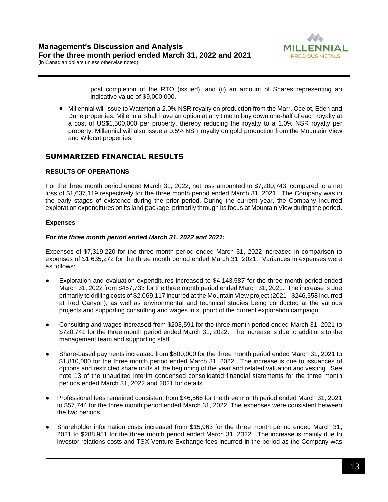

post completion of the RTO (issued), and (ii) an amount of Shares representing an indicative value of \$9,000,000.

• Millennial will issue to Waterton a 2.0% NSR royalty on production from the Marr, Ocelot, Eden and Dune properties. Millennial shall have an option at any time to buy down one-half of each royalty at a cost of US\$1,500,000 per property, thereby reducing the royalty to a 1.0% NSR royalty per property. Millennial will also issue a 0.5% NSR royalty on gold production from the Mountain View and Wildcat properties.

# **SUMMARIZED FINANCIAL RESULTS**

## **RESULTS OF OPERATIONS**

For the three month period ended March 31, 2022, net loss amounted to \$7,200,743, compared to a net loss of \$1,637,119 respectively for the three month period ended March 31, 2021. The Company was in the early stages of existence during the prior period. During the current year, the Company incurred exploration expenditures on its land package, primarily through its focus at Mountain View during the period.

#### **Expenses**

#### *For the three month period ended March 31, 2022 and 2021:*

Expenses of \$7,319,220 for the three month period ended March 31, 2022 increased in comparison to expenses of \$1,635,272 for the three month period ended March 31, 2021. Variances in expenses were as follows:

- Exploration and evaluation expenditures increased to \$4,143,587 for the three month period ended March 31, 2022 from \$457,733 for the three month period ended March 31, 2021. The increase is due primarily to drilling costs of \$2,069,117 incurred at the Mountain View project (2021 - \$246,558 incurred at Red Canyon), as well as environmental and technical studies being conducted at the various projects and supporting consulting and wages in support of the current exploration campaign.
- Consulting and wages increased from \$203,591 for the three month period ended March 31, 2021 to \$720,741 for the three month period ended March 31, 2022. The increase is due to additions to the management team and supporting staff.
- Share-based payments increased from \$800,000 for the three month period ended March 31, 2021 to \$1,810,000 for the three month period ended March 31, 2022. The increase is due to issuances of options and restricted share units at the beginning of the year and related valuation and vesting. See note 13 of the unaudited interim condensed consolidated financial statements for the three month periods ended March 31, 2022 and 2021 for details.
- Professional fees remained consistent from \$46,566 for the three month period ended March 31, 2021 to \$57,744 for the three month period ended March 31, 2022. The expenses were consistent between the two periods.
- Shareholder information costs increased from \$15,963 for the three month period ended March 31, 2021 to \$288,951 for the three month period ended March 31, 2022. The increase is mainly due to investor relations costs and TSX Venture Exchange fees incurred in the period as the Company was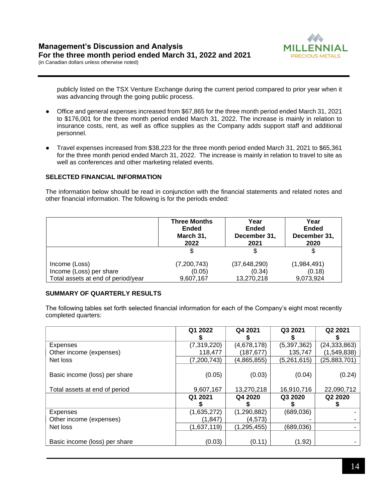

publicly listed on the TSX Venture Exchange during the current period compared to prior year when it was advancing through the going public process.

- Office and general expenses increased from \$67,865 for the three month period ended March 31, 2021 to \$176,001 for the three month period ended March 31, 2022. The increase is mainly in relation to insurance costs, rent, as well as office supplies as the Company adds support staff and additional personnel.
- Travel expenses increased from \$38,223 for the three month period ended March 31, 2021 to \$65,361 for the three month period ended March 31, 2022. The increase is mainly in relation to travel to site as well as conferences and other marketing related events.

#### **SELECTED FINANCIAL INFORMATION**

The information below should be read in conjunction with the financial statements and related notes and other financial information. The following is for the periods ended:

|                                    | <b>Three Months</b><br><b>Ended</b><br>March 31,<br>2022 | Year<br><b>Ended</b><br>December 31,<br>2021 | Year<br><b>Ended</b><br>December 31,<br>2020 |
|------------------------------------|----------------------------------------------------------|----------------------------------------------|----------------------------------------------|
|                                    | S                                                        | S                                            |                                              |
| Income (Loss)                      | (7,200,743)                                              | (37, 648, 290)                               | (1,984,491)                                  |
| Income (Loss) per share            | (0.05)                                                   | (0.34)                                       | (0.18)                                       |
| Total assets at end of period/year | 9,607,167                                                | 13,270,218                                   | 9,073,924                                    |

## **SUMMARY OF QUARTERLY RESULTS**

The following tables set forth selected financial information for each of the Company's eight most recently completed quarters:

|                               | Q1 2022       | Q4 2021       | Q3 2021     | Q2 2021        |
|-------------------------------|---------------|---------------|-------------|----------------|
| <b>Expenses</b>               | (7,319,220)   | (4,678,178)   | (5,397,362) | (24, 333, 863) |
| Other income (expenses)       | 118,477       | (187,677)     | 135,747     | (1,549,838)    |
| Net loss                      | (7, 200, 743) | (4,865,855)   | (5,261,615) | (25, 883, 701) |
| Basic income (loss) per share | (0.05)        | (0.03)        | (0.04)      | (0.24)         |
| Total assets at end of period | 9,607,167     | 13,270,218    | 16,910,716  | 22,090,712     |
|                               | Q1 2021       | Q4 2020       | Q3 2020     | Q2 2020        |
| Expenses                      | (1,635,272)   | (1, 290, 882) | (689, 036)  |                |
| Other income (expenses)       | (1, 847)      | (4,573)       |             |                |
| Net loss                      | (1,637,119)   | (1, 295, 455) | (689,036)   |                |
| Basic income (loss) per share | (0.03)        | (0.11)        | (1.92)      |                |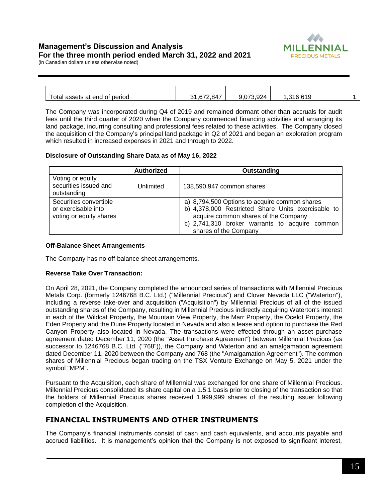# **Management's Discussion and Analysis For the three month period ended March 31, 2022 and 2021**



(in Canadian dollars unless otherwise noted)

| Total assets at end of period | 31.672.847 | 9.073.924 | .316.619 |  |
|-------------------------------|------------|-----------|----------|--|

The Company was incorporated during Q4 of 2019 and remained dormant other than accruals for audit fees until the third quarter of 2020 when the Company commenced financing activities and arranging its land package, incurring consulting and professional fees related to these activities. The Company closed the acquisition of the Company's principal land package in Q2 of 2021 and began an exploration program which resulted in increased expenses in 2021 and through to 2022.

#### **Disclosure of Outstanding Share Data as of May 16, 2022**

|                                                                          | <b>Authorized</b> | Outstanding                                                                                                                                                                                                            |
|--------------------------------------------------------------------------|-------------------|------------------------------------------------------------------------------------------------------------------------------------------------------------------------------------------------------------------------|
| Voting or equity<br>securities issued and<br>outstanding                 | Unlimited         | 138,590,947 common shares                                                                                                                                                                                              |
| Securities convertible<br>or exercisable into<br>voting or equity shares |                   | a) 8,794,500 Options to acquire common shares<br>b) 4,378,000 Restricted Share Units exercisable to<br>acquire common shares of the Company<br>c) 2,741,310 broker warrants to acquire common<br>shares of the Company |

#### **Off-Balance Sheet Arrangements**

The Company has no off-balance sheet arrangements.

## **Reverse Take Over Transaction:**

On April 28, 2021, the Company completed the announced series of transactions with Millennial Precious Metals Corp. (formerly 1246768 B.C. Ltd.) ("Millennial Precious") and Clover Nevada LLC ("Waterton"), including a reverse take-over and acquisition ("Acquisition") by Millennial Precious of all of the issued outstanding shares of the Company, resulting in Millennial Precious indirectly acquiring Waterton's interest in each of the Wildcat Property, the Mountain View Property, the Marr Property, the Ocelot Property, the Eden Property and the Dune Property located in Nevada and also a lease and option to purchase the Red Canyon Property also located in Nevada. The transactions were effected through an asset purchase agreement dated December 11, 2020 (the "Asset Purchase Agreement") between Millennial Precious (as successor to 1246768 B.C. Ltd. ("768")), the Company and Waterton and an amalgamation agreement dated December 11, 2020 between the Company and 768 (the "Amalgamation Agreement"). The common shares of Millennial Precious began trading on the TSX Venture Exchange on May 5, 2021 under the symbol "MPM".

Pursuant to the Acquisition, each share of Millennial was exchanged for one share of Millennial Precious. Millennial Precious consolidated its share capital on a 1.5:1 basis prior to closing of the transaction so that the holders of Millennial Precious shares received 1,999,999 shares of the resulting issuer following completion of the Acquisition.

# **FINANCIAL INSTRUMENTS AND OTHER INSTRUMENTS**

The Company's financial instruments consist of cash and cash equivalents, and accounts payable and accrued liabilities. It is management's opinion that the Company is not exposed to significant interest,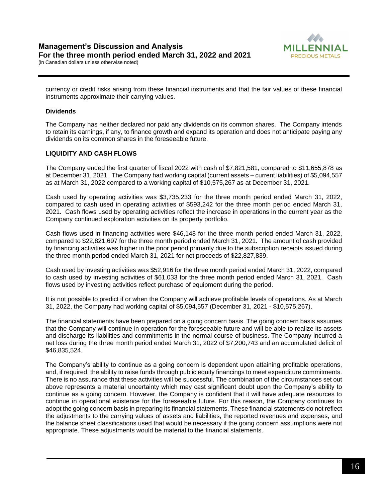

currency or credit risks arising from these financial instruments and that the fair values of these financial instruments approximate their carrying values.

## **Dividends**

The Company has neither declared nor paid any dividends on its common shares. The Company intends to retain its earnings, if any, to finance growth and expand its operation and does not anticipate paying any dividends on its common shares in the foreseeable future.

#### **LIQUIDITY AND CASH FLOWS**

The Company ended the first quarter of fiscal 2022 with cash of \$7,821,581, compared to \$11,655,878 as at December 31, 2021. The Company had working capital (current assets – current liabilities) of \$5,094,557 as at March 31, 2022 compared to a working capital of \$10,575,267 as at December 31, 2021.

Cash used by operating activities was \$3,735,233 for the three month period ended March 31, 2022, compared to cash used in operating activities of \$593,242 for the three month period ended March 31, 2021. Cash flows used by operating activities reflect the increase in operations in the current year as the Company continued exploration activities on its property portfolio.

Cash flows used in financing activities were \$46,148 for the three month period ended March 31, 2022, compared to \$22,821,697 for the three month period ended March 31, 2021. The amount of cash provided by financing activities was higher in the prior period primarily due to the subscription receipts issued during the three month period ended March 31, 2021 for net proceeds of \$22,827,839.

Cash used by investing activities was \$52,916 for the three month period ended March 31, 2022, compared to cash used by investing activities of \$61,033 for the three month period ended March 31, 2021. Cash flows used by investing activities reflect purchase of equipment during the period.

It is not possible to predict if or when the Company will achieve profitable levels of operations. As at March 31, 2022, the Company had working capital of \$5,094,557 (December 31, 2021 - \$10,575,267).

The financial statements have been prepared on a going concern basis. The going concern basis assumes that the Company will continue in operation for the foreseeable future and will be able to realize its assets and discharge its liabilities and commitments in the normal course of business. The Company incurred a net loss during the three month period ended March 31, 2022 of \$7,200,743 and an accumulated deficit of \$46,835,524.

The Company's ability to continue as a going concern is dependent upon attaining profitable operations, and, if required, the ability to raise funds through public equity financings to meet expenditure commitments. There is no assurance that these activities will be successful. The combination of the circumstances set out above represents a material uncertainty which may cast significant doubt upon the Company's ability to continue as a going concern. However, the Company is confident that it will have adequate resources to continue in operational existence for the foreseeable future. For this reason, the Company continues to adopt the going concern basis in preparing its financial statements. These financial statements do not reflect the adjustments to the carrying values of assets and liabilities, the reported revenues and expenses, and the balance sheet classifications used that would be necessary if the going concern assumptions were not appropriate. These adjustments would be material to the financial statements.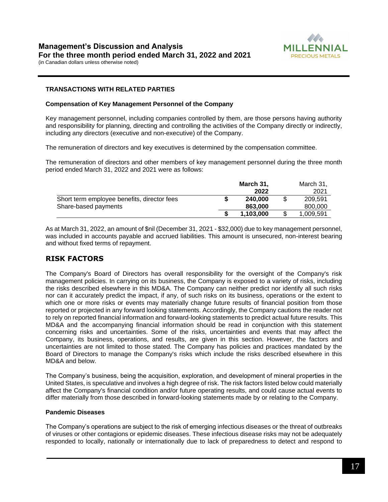

# **TRANSACTIONS WITH RELATED PARTIES**

#### **Compensation of Key Management Personnel of the Company**

Key management personnel, including companies controlled by them, are those persons having authority and responsibility for planning, directing and controlling the activities of the Company directly or indirectly, including any directors (executive and non-executive) of the Company.

The remuneration of directors and key executives is determined by the compensation committee.

The remuneration of directors and other members of key management personnel during the three month period ended March 31, 2022 and 2021 were as follows:

|                                             | March 31, |           |  | March 31. |
|---------------------------------------------|-----------|-----------|--|-----------|
|                                             |           | 2022      |  | 2021      |
| Short term employee benefits, director fees |           | 240.000   |  | 209.591   |
| Share-based payments                        |           | 863.000   |  | 800.000   |
|                                             |           | 1.103.000 |  | 1.009.591 |

As at March 31, 2022, an amount of \$nil (December 31, 2021 - \$32,000) due to key management personnel, was included in accounts payable and accrued liabilities. This amount is unsecured, non-interest bearing and without fixed terms of repayment.

# **RISK FACTORS**

The Company's Board of Directors has overall responsibility for the oversight of the Company's risk management policies. In carrying on its business, the Company is exposed to a variety of risks, including the risks described elsewhere in this MD&A. The Company can neither predict nor identify all such risks nor can it accurately predict the impact, if any, of such risks on its business, operations or the extent to which one or more risks or events may materially change future results of financial position from those reported or projected in any forward looking statements. Accordingly, the Company cautions the reader not to rely on reported financial information and forward-looking statements to predict actual future results. This MD&A and the accompanying financial information should be read in conjunction with this statement concerning risks and uncertainties. Some of the risks, uncertainties and events that may affect the Company, its business, operations, and results, are given in this section. However, the factors and uncertainties are not limited to those stated. The Company has policies and practices mandated by the Board of Directors to manage the Company's risks which include the risks described elsewhere in this MD&A and below.

The Company's business, being the acquisition, exploration, and development of mineral properties in the United States, is speculative and involves a high degree of risk. The risk factors listed below could materially affect the Company's financial condition and/or future operating results, and could cause actual events to differ materially from those described in forward-looking statements made by or relating to the Company.

#### **Pandemic Diseases**

The Company's operations are subject to the risk of emerging infectious diseases or the threat of outbreaks of viruses or other contagions or epidemic diseases. These infectious disease risks may not be adequately responded to locally, nationally or internationally due to lack of preparedness to detect and respond to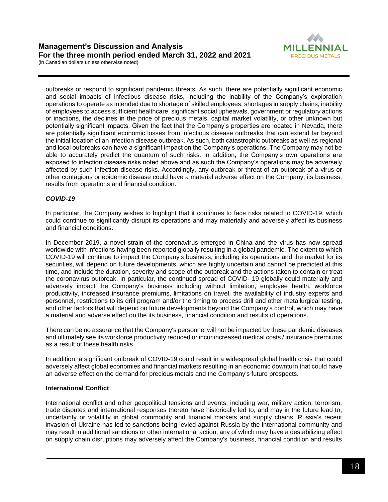

outbreaks or respond to significant pandemic threats. As such, there are potentially significant economic and social impacts of infectious disease risks, including the inability of the Company's exploration operations to operate as intended due to shortage of skilled employees, shortages in supply chains, inability of employees to access sufficient healthcare, significant social upheavals, government or regulatory actions or inactions, the declines in the price of precious metals, capital market volatility, or other unknown but potentially significant impacts. Given the fact that the Company's properties are located in Nevada, there are potentially significant economic losses from infectious disease outbreaks that can extend far beyond the initial location of an infection disease outbreak. As such, both catastrophic outbreaks as well as regional and local outbreaks can have a significant impact on the Company's operations. The Company may not be able to accurately predict the quantum of such risks. In addition, the Company's own operations are exposed to infection disease risks noted above and as such the Company's operations may be adversely affected by such infection disease risks. Accordingly, any outbreak or threat of an outbreak of a virus or other contagions or epidemic disease could have a material adverse effect on the Company, its business, results from operations and financial condition.

# *COVID-19*

In particular, the Company wishes to highlight that it continues to face risks related to COVID-19, which could continue to significantly disrupt its operations and may materially and adversely affect its business and financial conditions.

In December 2019, a novel strain of the coronavirus emerged in China and the virus has now spread worldwide with infections having been reported globally resulting in a global pandemic. The extent to which COVID-19 will continue to impact the Company's business, including its operations and the market for its securities, will depend on future developments, which are highly uncertain and cannot be predicted at this time, and include the duration, severity and scope of the outbreak and the actions taken to contain or treat the coronavirus outbreak. In particular, the continued spread of COVID- 19 globally could materially and adversely impact the Company's business including without limitation, employee health, workforce productivity, increased insurance premiums, limitations on travel, the availability of industry experts and personnel, restrictions to its drill program and/or the timing to process drill and other metallurgical testing, and other factors that will depend on future developments beyond the Company's control, which may have a material and adverse effect on the its business, financial condition and results of operations.

There can be no assurance that the Company's personnel will not be impacted by these pandemic diseases and ultimately see its workforce productivity reduced or incur increased medical costs / insurance premiums as a result of these health risks.

In addition, a significant outbreak of COVID-19 could result in a widespread global health crisis that could adversely affect global economies and financial markets resulting in an economic downturn that could have an adverse effect on the demand for precious metals and the Company's future prospects.

## **International Conflict**

International conflict and other geopolitical tensions and events, including war, military action, terrorism, trade disputes and international responses thereto have historically led to, and may in the future lead to, uncertainty or volatility in global commodity and financial markets and supply chains. Russia's recent invasion of Ukraine has led to sanctions being levied against Russia by the international community and may result in additional sanctions or other international action, any of which may have a destabilizing effect on supply chain disruptions may adversely affect the Company's business, financial condition and results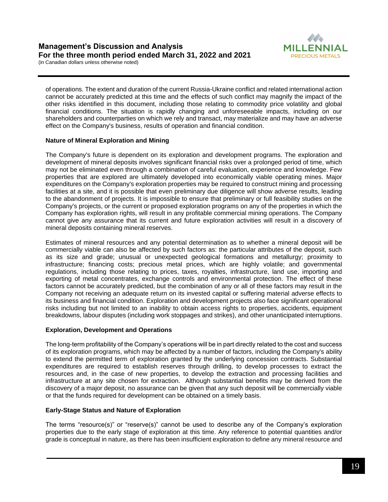



of operations. The extent and duration of the current Russia-Ukraine conflict and related international action cannot be accurately predicted at this time and the effects of such conflict may magnify the impact of the other risks identified in this document, including those relating to commodity price volatility and global financial conditions. The situation is rapidly changing and unforeseeable impacts, including on our shareholders and counterparties on which we rely and transact, may materialize and may have an adverse effect on the Company's business, results of operation and financial condition.

#### **Nature of Mineral Exploration and Mining**

The Company's future is dependent on its exploration and development programs. The exploration and development of mineral deposits involves significant financial risks over a prolonged period of time, which may not be eliminated even through a combination of careful evaluation, experience and knowledge. Few properties that are explored are ultimately developed into economically viable operating mines. Major expenditures on the Company's exploration properties may be required to construct mining and processing facilities at a site, and it is possible that even preliminary due diligence will show adverse results, leading to the abandonment of projects. It is impossible to ensure that preliminary or full feasibility studies on the Company's projects, or the current or proposed exploration programs on any of the properties in which the Company has exploration rights, will result in any profitable commercial mining operations. The Company cannot give any assurance that its current and future exploration activities will result in a discovery of mineral deposits containing mineral reserves.

Estimates of mineral resources and any potential determination as to whether a mineral deposit will be commercially viable can also be affected by such factors as: the particular attributes of the deposit, such as its size and grade; unusual or unexpected geological formations and metallurgy; proximity to infrastructure; financing costs; precious metal prices, which are highly volatile; and governmental regulations, including those relating to prices, taxes, royalties, infrastructure, land use, importing and exporting of metal concentrates, exchange controls and environmental protection. The effect of these factors cannot be accurately predicted, but the combination of any or all of these factors may result in the Company not receiving an adequate return on its invested capital or suffering material adverse effects to its business and financial condition. Exploration and development projects also face significant operational risks including but not limited to an inability to obtain access rights to properties, accidents, equipment breakdowns, labour disputes (including work stoppages and strikes), and other unanticipated interruptions.

#### **Exploration, Development and Operations**

The long-term profitability of the Company's operations will be in part directly related to the cost and success of its exploration programs, which may be affected by a number of factors, including the Company's ability to extend the permitted term of exploration granted by the underlying concession contracts. Substantial expenditures are required to establish reserves through drilling, to develop processes to extract the resources and, in the case of new properties, to develop the extraction and processing facilities and infrastructure at any site chosen for extraction. Although substantial benefits may be derived from the discovery of a major deposit, no assurance can be given that any such deposit will be commercially viable or that the funds required for development can be obtained on a timely basis.

#### **Early-Stage Status and Nature of Exploration**

The terms "resource(s)" or "reserve(s)" cannot be used to describe any of the Company's exploration properties due to the early stage of exploration at this time. Any reference to potential quantities and/or grade is conceptual in nature, as there has been insufficient exploration to define any mineral resource and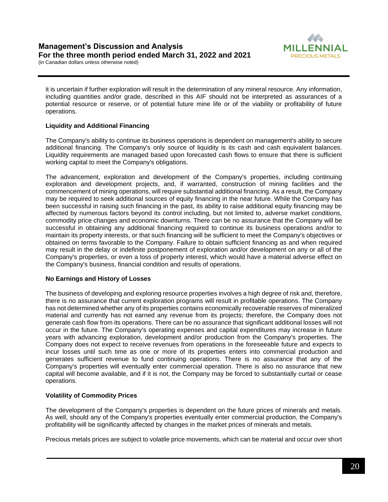

it is uncertain if further exploration will result in the determination of any mineral resource. Any information, including quantities and/or grade, described in this AIF should not be interpreted as assurances of a potential resource or reserve, or of potential future mine life or of the viability or profitability of future operations.

# **Liquidity and Additional Financing**

The Company's ability to continue its business operations is dependent on management's ability to secure additional financing. The Company's only source of liquidity is its cash and cash equivalent balances. Liquidity requirements are managed based upon forecasted cash flows to ensure that there is sufficient working capital to meet the Company's obligations.

The advancement, exploration and development of the Company's properties, including continuing exploration and development projects, and, if warranted, construction of mining facilities and the commencement of mining operations, will require substantial additional financing. As a result, the Company may be required to seek additional sources of equity financing in the near future. While the Company has been successful in raising such financing in the past, its ability to raise additional equity financing may be affected by numerous factors beyond its control including, but not limited to, adverse market conditions, commodity price changes and economic downturns. There can be no assurance that the Company will be successful in obtaining any additional financing required to continue its business operations and/or to maintain its property interests, or that such financing will be sufficient to meet the Company's objectives or obtained on terms favorable to the Company. Failure to obtain sufficient financing as and when required may result in the delay or indefinite postponement of exploration and/or development on any or all of the Company's properties, or even a loss of property interest, which would have a material adverse effect on the Company's business, financial condition and results of operations.

## **No Earnings and History of Losses**

The business of developing and exploring resource properties involves a high degree of risk and, therefore, there is no assurance that current exploration programs will result in profitable operations. The Company has not determined whether any of its properties contains economically recoverable reserves of mineralized material and currently has not earned any revenue from its projects; therefore, the Company does not generate cash flow from its operations. There can be no assurance that significant additional losses will not occur in the future. The Company's operating expenses and capital expenditures may increase in future years with advancing exploration, development and/or production from the Company's properties. The Company does not expect to receive revenues from operations in the foreseeable future and expects to incur losses until such time as one or more of its properties enters into commercial production and generates sufficient revenue to fund continuing operations. There is no assurance that any of the Company's properties will eventually enter commercial operation. There is also no assurance that new capital will become available, and if it is not, the Company may be forced to substantially curtail or cease operations.

# **Volatility of Commodity Prices**

The development of the Company's properties is dependent on the future prices of minerals and metals. As well, should any of the Company's properties eventually enter commercial production, the Company's profitability will be significantly affected by changes in the market prices of minerals and metals.

Precious metals prices are subject to volatile price movements, which can be material and occur over short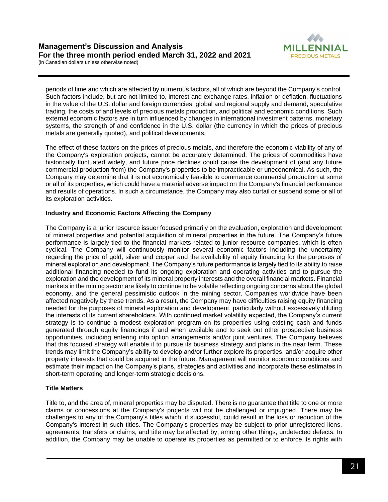

periods of time and which are affected by numerous factors, all of which are beyond the Company's control. Such factors include, but are not limited to, interest and exchange rates, inflation or deflation, fluctuations in the value of the U.S. dollar and foreign currencies, global and regional supply and demand, speculative trading, the costs of and levels of precious metals production, and political and economic conditions. Such external economic factors are in turn influenced by changes in international investment patterns, monetary systems, the strength of and confidence in the U.S. dollar (the currency in which the prices of precious metals are generally quoted), and political developments.

The effect of these factors on the prices of precious metals, and therefore the economic viability of any of the Company's exploration projects, cannot be accurately determined. The prices of commodities have historically fluctuated widely, and future price declines could cause the development of (and any future commercial production from) the Company's properties to be impracticable or uneconomical. As such, the Company may determine that it is not economically feasible to commence commercial production at some or all of its properties, which could have a material adverse impact on the Company's financial performance and results of operations. In such a circumstance, the Company may also curtail or suspend some or all of its exploration activities.

# **Industry and Economic Factors Affecting the Company**

The Company is a junior resource issuer focused primarily on the evaluation, exploration and development of mineral properties and potential acquisition of mineral properties in the future. The Company's future performance is largely tied to the financial markets related to junior resource companies, which is often cyclical. The Company will continuously monitor several economic factors including the uncertainty regarding the price of gold, silver and copper and the availability of equity financing for the purposes of mineral exploration and development. The Company's future performance is largely tied to its ability to raise additional financing needed to fund its ongoing exploration and operating activities and to pursue the exploration and the development of its mineral property interests and the overall financial markets. Financial markets in the mining sector are likely to continue to be volatile reflecting ongoing concerns about the global economy, and the general pessimistic outlook in the mining sector. Companies worldwide have been affected negatively by these trends. As a result, the Company may have difficulties raising equity financing needed for the purposes of mineral exploration and development, particularly without excessively diluting the interests of its current shareholders. With continued market volatility expected, the Company's current strategy is to continue a modest exploration program on its properties using existing cash and funds generated through equity financings if and when available and to seek out other prospective business opportunities, including entering into option arrangements and/or joint ventures. The Company believes that this focused strategy will enable it to pursue its business strategy and plans in the near term. These trends may limit the Company's ability to develop and/or further explore its properties, and/or acquire other property interests that could be acquired in the future. Management will monitor economic conditions and estimate their impact on the Company's plans, strategies and activities and incorporate these estimates in short-term operating and longer-term strategic decisions.

# **Title Matters**

Title to, and the area of, mineral properties may be disputed. There is no guarantee that title to one or more claims or concessions at the Company's projects will not be challenged or impugned. There may be challenges to any of the Company's titles which, if successful, could result in the loss or reduction of the Company's interest in such titles. The Company's properties may be subject to prior unregistered liens, agreements, transfers or claims, and title may be affected by, among other things, undetected defects. In addition, the Company may be unable to operate its properties as permitted or to enforce its rights with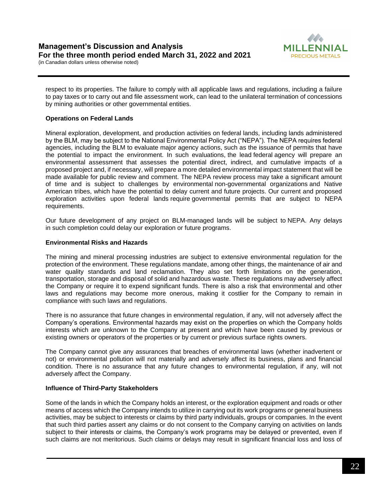



respect to its properties. The failure to comply with all applicable laws and regulations, including a failure to pay taxes or to carry out and file assessment work, can lead to the unilateral termination of concessions by mining authorities or other governmental entities.

#### **Operations on Federal Lands**

Mineral exploration, development, and production activities on federal lands, including lands administered by the BLM, may be subject to the National Environmental Policy Act ("NEPA"). The NEPA requires federal agencies, including the BLM to evaluate major agency actions, such as the issuance of permits that have the potential to impact the environment. In such evaluations, the lead federal agency will prepare an environmental assessment that assesses the potential direct, indirect, and cumulative impacts of a proposed project and, if necessary, will prepare a more detailed environmental impact statement that will be made available for public review and comment. The NEPA review process may take a significant amount of time and is subject to challenges by environmental non-governmental organizations and Native American tribes, which have the potential to delay current and future projects. Our current and proposed exploration activities upon federal lands require governmental permits that are subject to NEPA requirements.

Our future development of any project on BLM-managed lands will be subject to NEPA. Any delays in such completion could delay our exploration or future programs.

#### **Environmental Risks and Hazards**

The mining and mineral processing industries are subject to extensive environmental regulation for the protection of the environment. These regulations mandate, among other things, the maintenance of air and water quality standards and land reclamation. They also set forth limitations on the generation, transportation, storage and disposal of solid and hazardous waste. These regulations may adversely affect the Company or require it to expend significant funds. There is also a risk that environmental and other laws and regulations may become more onerous, making it costlier for the Company to remain in compliance with such laws and regulations.

There is no assurance that future changes in environmental regulation, if any, will not adversely affect the Company's operations. Environmental hazards may exist on the properties on which the Company holds interests which are unknown to the Company at present and which have been caused by previous or existing owners or operators of the properties or by current or previous surface rights owners.

The Company cannot give any assurances that breaches of environmental laws (whether inadvertent or not) or environmental pollution will not materially and adversely affect its business, plans and financial condition. There is no assurance that any future changes to environmental regulation, if any, will not adversely affect the Company.

#### **Influence of Third-Party Stakeholders**

Some of the lands in which the Company holds an interest, or the exploration equipment and roads or other means of access which the Company intends to utilize in carrying out its work programs or general business activities, may be subject to interests or claims by third party individuals, groups or companies. In the event that such third parties assert any claims or do not consent to the Company carrying on activities on lands subject to their interests or claims, the Company's work programs may be delayed or prevented, even if such claims are not meritorious. Such claims or delays may result in significant financial loss and loss of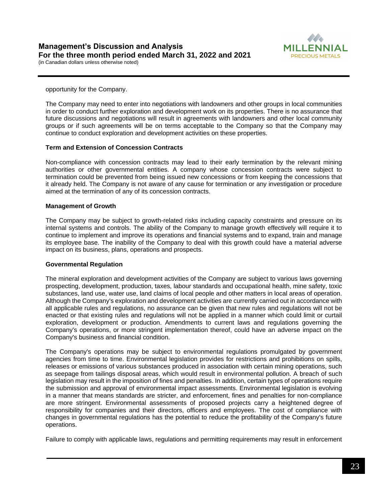

opportunity for the Company.

The Company may need to enter into negotiations with landowners and other groups in local communities in order to conduct further exploration and development work on its properties. There is no assurance that future discussions and negotiations will result in agreements with landowners and other local community groups or if such agreements will be on terms acceptable to the Company so that the Company may continue to conduct exploration and development activities on these properties.

#### **Term and Extension of Concession Contracts**

Non-compliance with concession contracts may lead to their early termination by the relevant mining authorities or other governmental entities. A company whose concession contracts were subject to termination could be prevented from being issued new concessions or from keeping the concessions that it already held. The Company is not aware of any cause for termination or any investigation or procedure aimed at the termination of any of its concession contracts.

#### **Management of Growth**

The Company may be subject to growth-related risks including capacity constraints and pressure on its internal systems and controls. The ability of the Company to manage growth effectively will require it to continue to implement and improve its operations and financial systems and to expand, train and manage its employee base. The inability of the Company to deal with this growth could have a material adverse impact on its business, plans, operations and prospects.

#### **Governmental Regulation**

The mineral exploration and development activities of the Company are subject to various laws governing prospecting, development, production, taxes, labour standards and occupational health, mine safety, toxic substances, land use, water use, land claims of local people and other matters in local areas of operation. Although the Company's exploration and development activities are currently carried out in accordance with all applicable rules and regulations, no assurance can be given that new rules and regulations will not be enacted or that existing rules and regulations will not be applied in a manner which could limit or curtail exploration, development or production. Amendments to current laws and regulations governing the Company's operations, or more stringent implementation thereof, could have an adverse impact on the Company's business and financial condition.

The Company's operations may be subject to environmental regulations promulgated by government agencies from time to time. Environmental legislation provides for restrictions and prohibitions on spills, releases or emissions of various substances produced in association with certain mining operations, such as seepage from tailings disposal areas, which would result in environmental pollution. A breach of such legislation may result in the imposition of fines and penalties. In addition, certain types of operations require the submission and approval of environmental impact assessments. Environmental legislation is evolving in a manner that means standards are stricter, and enforcement, fines and penalties for non-compliance are more stringent. Environmental assessments of proposed projects carry a heightened degree of responsibility for companies and their directors, officers and employees. The cost of compliance with changes in governmental regulations has the potential to reduce the profitability of the Company's future operations.

Failure to comply with applicable laws, regulations and permitting requirements may result in enforcement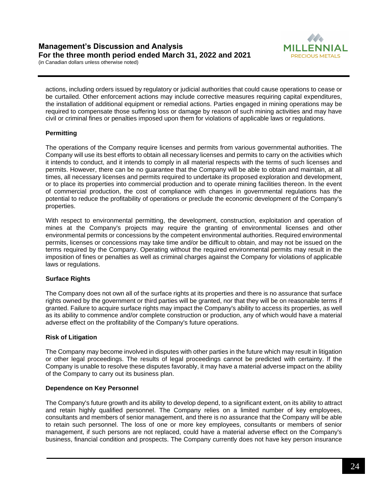MILL **PRECIOUS METALS** 

(in Canadian dollars unless otherwise noted)

actions, including orders issued by regulatory or judicial authorities that could cause operations to cease or be curtailed. Other enforcement actions may include corrective measures requiring capital expenditures, the installation of additional equipment or remedial actions. Parties engaged in mining operations may be required to compensate those suffering loss or damage by reason of such mining activities and may have civil or criminal fines or penalties imposed upon them for violations of applicable laws or regulations.

# **Permitting**

The operations of the Company require licenses and permits from various governmental authorities. The Company will use its best efforts to obtain all necessary licenses and permits to carry on the activities which it intends to conduct, and it intends to comply in all material respects with the terms of such licenses and permits. However, there can be no guarantee that the Company will be able to obtain and maintain, at all times, all necessary licenses and permits required to undertake its proposed exploration and development, or to place its properties into commercial production and to operate mining facilities thereon. In the event of commercial production, the cost of compliance with changes in governmental regulations has the potential to reduce the profitability of operations or preclude the economic development of the Company's properties.

With respect to environmental permitting, the development, construction, exploitation and operation of mines at the Company's projects may require the granting of environmental licenses and other environmental permits or concessions by the competent environmental authorities. Required environmental permits, licenses or concessions may take time and/or be difficult to obtain, and may not be issued on the terms required by the Company. Operating without the required environmental permits may result in the imposition of fines or penalties as well as criminal charges against the Company for violations of applicable laws or regulations.

## **Surface Rights**

The Company does not own all of the surface rights at its properties and there is no assurance that surface rights owned by the government or third parties will be granted, nor that they will be on reasonable terms if granted. Failure to acquire surface rights may impact the Company's ability to access its properties, as well as its ability to commence and/or complete construction or production, any of which would have a material adverse effect on the profitability of the Company's future operations.

## **Risk of Litigation**

The Company may become involved in disputes with other parties in the future which may result in litigation or other legal proceedings. The results of legal proceedings cannot be predicted with certainty. If the Company is unable to resolve these disputes favorably, it may have a material adverse impact on the ability of the Company to carry out its business plan.

## **Dependence on Key Personnel**

The Company's future growth and its ability to develop depend, to a significant extent, on its ability to attract and retain highly qualified personnel. The Company relies on a limited number of key employees, consultants and members of senior management, and there is no assurance that the Company will be able to retain such personnel. The loss of one or more key employees, consultants or members of senior management, if such persons are not replaced, could have a material adverse effect on the Company's business, financial condition and prospects. The Company currently does not have key person insurance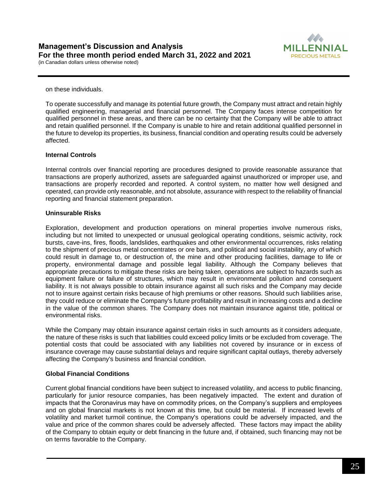

on these individuals.

To operate successfully and manage its potential future growth, the Company must attract and retain highly qualified engineering, managerial and financial personnel. The Company faces intense competition for qualified personnel in these areas, and there can be no certainty that the Company will be able to attract and retain qualified personnel. If the Company is unable to hire and retain additional qualified personnel in the future to develop its properties, its business, financial condition and operating results could be adversely affected.

#### **Internal Controls**

Internal controls over financial reporting are procedures designed to provide reasonable assurance that transactions are properly authorized, assets are safeguarded against unauthorized or improper use, and transactions are properly recorded and reported. A control system, no matter how well designed and operated, can provide only reasonable, and not absolute, assurance with respect to the reliability of financial reporting and financial statement preparation.

#### **Uninsurable Risks**

Exploration, development and production operations on mineral properties involve numerous risks, including but not limited to unexpected or unusual geological operating conditions, seismic activity, rock bursts, cave-ins, fires, floods, landslides, earthquakes and other environmental occurrences, risks relating to the shipment of precious metal concentrates or ore bars, and political and social instability, any of which could result in damage to, or destruction of, the mine and other producing facilities, damage to life or property, environmental damage and possible legal liability. Although the Company believes that appropriate precautions to mitigate these risks are being taken, operations are subject to hazards such as equipment failure or failure of structures, which may result in environmental pollution and consequent liability. It is not always possible to obtain insurance against all such risks and the Company may decide not to insure against certain risks because of high premiums or other reasons. Should such liabilities arise, they could reduce or eliminate the Company's future profitability and result in increasing costs and a decline in the value of the common shares. The Company does not maintain insurance against title, political or environmental risks.

While the Company may obtain insurance against certain risks in such amounts as it considers adequate, the nature of these risks is such that liabilities could exceed policy limits or be excluded from coverage. The potential costs that could be associated with any liabilities not covered by insurance or in excess of insurance coverage may cause substantial delays and require significant capital outlays, thereby adversely affecting the Company's business and financial condition.

#### **Global Financial Conditions**

Current global financial conditions have been subject to increased volatility, and access to public financing, particularly for junior resource companies, has been negatively impacted. The extent and duration of impacts that the Coronavirus may have on commodity prices, on the Company's suppliers and employees and on global financial markets is not known at this time, but could be material. If increased levels of volatility and market turmoil continue, the Company's operations could be adversely impacted, and the value and price of the common shares could be adversely affected. These factors may impact the ability of the Company to obtain equity or debt financing in the future and, if obtained, such financing may not be on terms favorable to the Company.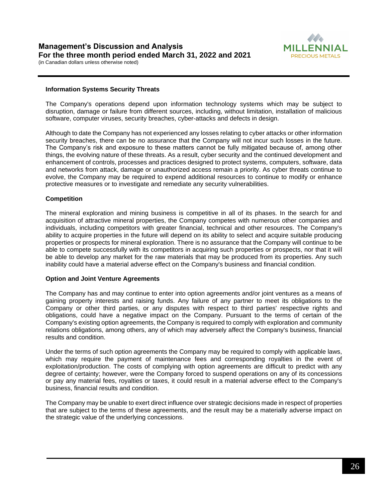

#### **Information Systems Security Threats**

The Company's operations depend upon information technology systems which may be subject to disruption, damage or failure from different sources, including, without limitation, installation of malicious software, computer viruses, security breaches, cyber-attacks and defects in design.

Although to date the Company has not experienced any losses relating to cyber attacks or other information security breaches, there can be no assurance that the Company will not incur such losses in the future. The Company's risk and exposure to these matters cannot be fully mitigated because of, among other things, the evolving nature of these threats. As a result, cyber security and the continued development and enhancement of controls, processes and practices designed to protect systems, computers, software, data and networks from attack, damage or unauthorized access remain a priority. As cyber threats continue to evolve, the Company may be required to expend additional resources to continue to modify or enhance protective measures or to investigate and remediate any security vulnerabilities.

#### **Competition**

The mineral exploration and mining business is competitive in all of its phases. In the search for and acquisition of attractive mineral properties, the Company competes with numerous other companies and individuals, including competitors with greater financial, technical and other resources. The Company's ability to acquire properties in the future will depend on its ability to select and acquire suitable producing properties or prospects for mineral exploration. There is no assurance that the Company will continue to be able to compete successfully with its competitors in acquiring such properties or prospects, nor that it will be able to develop any market for the raw materials that may be produced from its properties. Any such inability could have a material adverse effect on the Company's business and financial condition.

#### **Option and Joint Venture Agreements**

The Company has and may continue to enter into option agreements and/or joint ventures as a means of gaining property interests and raising funds. Any failure of any partner to meet its obligations to the Company or other third parties, or any disputes with respect to third parties' respective rights and obligations, could have a negative impact on the Company. Pursuant to the terms of certain of the Company's existing option agreements, the Company is required to comply with exploration and community relations obligations, among others, any of which may adversely affect the Company's business, financial results and condition.

Under the terms of such option agreements the Company may be required to comply with applicable laws, which may require the payment of maintenance fees and corresponding royalties in the event of exploitation/production. The costs of complying with option agreements are difficult to predict with any degree of certainty; however, were the Company forced to suspend operations on any of its concessions or pay any material fees, royalties or taxes, it could result in a material adverse effect to the Company's business, financial results and condition.

The Company may be unable to exert direct influence over strategic decisions made in respect of properties that are subject to the terms of these agreements, and the result may be a materially adverse impact on the strategic value of the underlying concessions.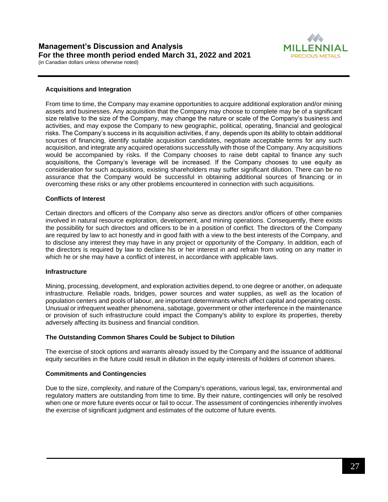

#### **Acquisitions and Integration**

From time to time, the Company may examine opportunities to acquire additional exploration and/or mining assets and businesses. Any acquisition that the Company may choose to complete may be of a significant size relative to the size of the Company, may change the nature or scale of the Company's business and activities, and may expose the Company to new geographic, political, operating, financial and geological risks. The Company's success in its acquisition activities, if any, depends upon its ability to obtain additional sources of financing, identify suitable acquisition candidates, negotiate acceptable terms for any such acquisition, and integrate any acquired operations successfully with those of the Company. Any acquisitions would be accompanied by risks. If the Company chooses to raise debt capital to finance any such acquisitions, the Company's leverage will be increased. If the Company chooses to use equity as consideration for such acquisitions, existing shareholders may suffer significant dilution. There can be no assurance that the Company would be successful in obtaining additional sources of financing or in overcoming these risks or any other problems encountered in connection with such acquisitions.

#### **Conflicts of Interest**

Certain directors and officers of the Company also serve as directors and/or officers of other companies involved in natural resource exploration, development, and mining operations. Consequently, there exists the possibility for such directors and officers to be in a position of conflict. The directors of the Company are required by law to act honestly and in good faith with a view to the best interests of the Company, and to disclose any interest they may have in any project or opportunity of the Company. In addition, each of the directors is required by law to declare his or her interest in and refrain from voting on any matter in which he or she may have a conflict of interest, in accordance with applicable laws.

#### **Infrastructure**

Mining, processing, development, and exploration activities depend, to one degree or another, on adequate infrastructure. Reliable roads, bridges, power sources and water supplies, as well as the location of population centers and pools of labour, are important determinants which affect capital and operating costs. Unusual or infrequent weather phenomena, sabotage, government or other interference in the maintenance or provision of such infrastructure could impact the Company's ability to explore its properties, thereby adversely affecting its business and financial condition.

#### **The Outstanding Common Shares Could be Subject to Dilution**

The exercise of stock options and warrants already issued by the Company and the issuance of additional equity securities in the future could result in dilution in the equity interests of holders of common shares.

#### **Commitments and Contingencies**

Due to the size, complexity, and nature of the Company's operations, various legal, tax, environmental and regulatory matters are outstanding from time to time. By their nature, contingencies will only be resolved when one or more future events occur or fail to occur. The assessment of contingencies inherently involves the exercise of significant judgment and estimates of the outcome of future events.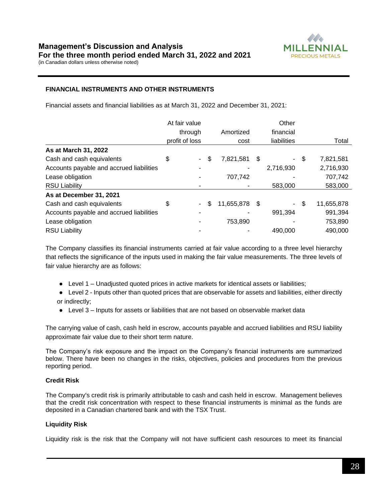

## **FINANCIAL INSTRUMENTS AND OTHER INSTRUMENTS**

Financial assets and financial liabilities as at March 31, 2022 and December 31, 2021:

|                                          | At fair value  |                  |      | Other       |    |            |
|------------------------------------------|----------------|------------------|------|-------------|----|------------|
|                                          | through        | Amortized        |      | financial   |    |            |
|                                          | profit of loss | cost             |      | liabilities |    | Total      |
| As at March 31, 2022                     |                |                  |      |             |    |            |
| Cash and cash equivalents                | \$<br>$\sim$   | \$<br>7,821,581  | \$   | $\sim$      | \$ | 7,821,581  |
| Accounts payable and accrued liabilities |                |                  |      | 2,716,930   |    | 2,716,930  |
| Lease obligation                         |                | 707,742          |      |             |    | 707,742    |
| <b>RSU Liability</b>                     |                |                  |      | 583,000     |    | 583,000    |
| As at December 31, 2021                  |                |                  |      |             |    |            |
| Cash and cash equivalents                | \$<br>$\sim$   | \$<br>11,655,878 | - \$ | $\sim$      | S  | 11,655,878 |
| Accounts payable and accrued liabilities |                |                  |      | 991,394     |    | 991,394    |
| Lease obligation                         |                | 753,890          |      |             |    | 753,890    |
| <b>RSU Liability</b>                     |                |                  |      | 490,000     |    | 490,000    |

The Company classifies its financial instruments carried at fair value according to a three level hierarchy that reflects the significance of the inputs used in making the fair value measurements. The three levels of fair value hierarchy are as follows:

- Level 1 Unadjusted quoted prices in active markets for identical assets or liabilities;
- Level 2 Inputs other than quoted prices that are observable for assets and liabilities, either directly or indirectly;
- Level 3 Inputs for assets or liabilities that are not based on observable market data

The carrying value of cash, cash held in escrow, accounts payable and accrued liabilities and RSU liability approximate fair value due to their short term nature.

The Company's risk exposure and the impact on the Company's financial instruments are summarized below. There have been no changes in the risks, objectives, policies and procedures from the previous reporting period.

## **Credit Risk**

The Company's credit risk is primarily attributable to cash and cash held in escrow. Management believes that the credit risk concentration with respect to these financial instruments is minimal as the funds are deposited in a Canadian chartered bank and with the TSX Trust.

## **Liquidity Risk**

Liquidity risk is the risk that the Company will not have sufficient cash resources to meet its financial